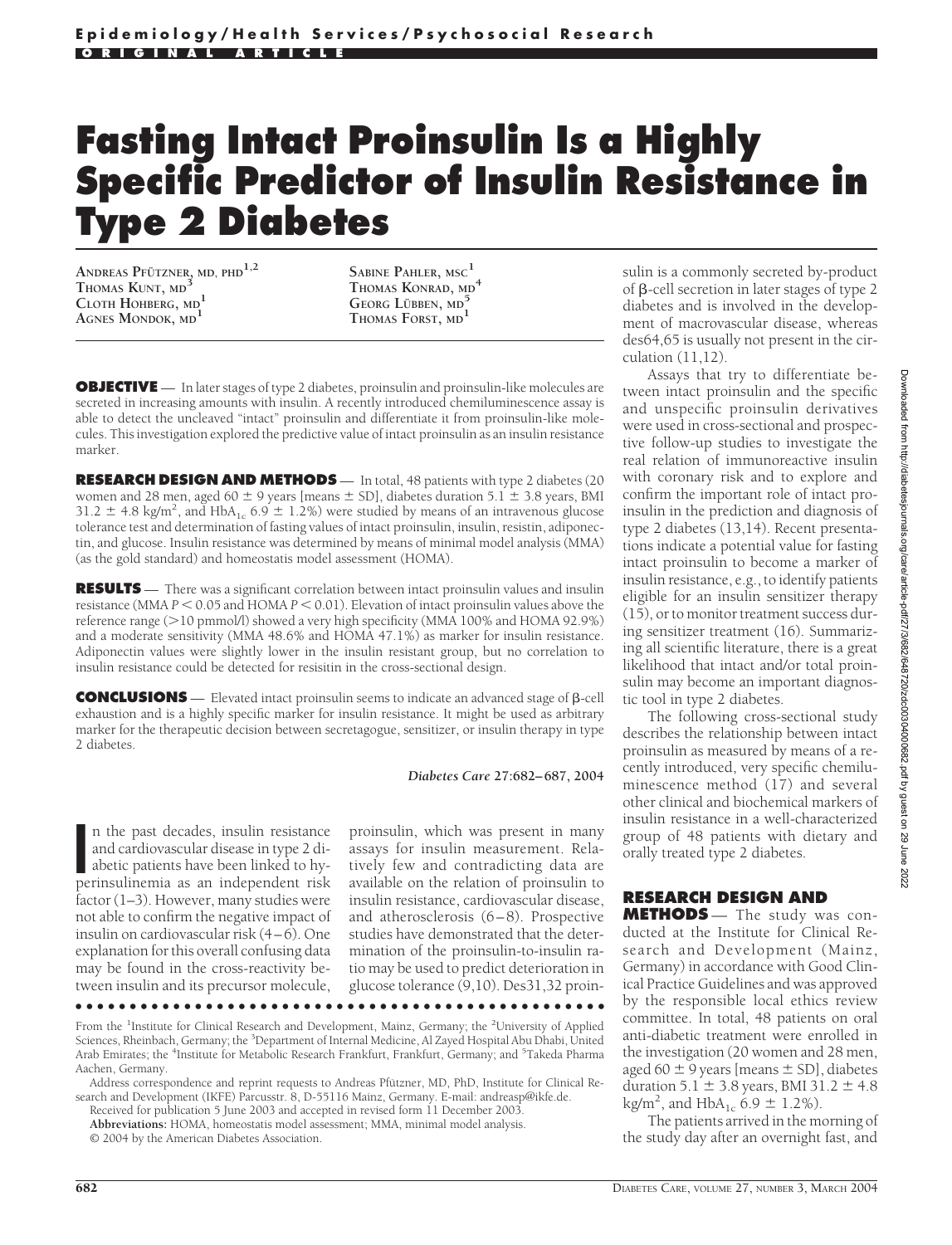## **Fasting Intact Proinsulin Is a Highly Specific Predictor of Insulin Resistance in Type 2 Diabetes**

**ANDREAS PFUTZNER ¨ , MD, PHD1,2 THOMAS KUNT, MD<sup>3</sup> CLOTH HOHBERG, MD<sup>1</sup> AGNES MONDOK, MD<sup>1</sup>**

**SABINE PAHLER, MSC<sup>1</sup> THOMAS KONRAD, MD<sup>4</sup> GEORG L¨UBBEN, MD<sup>5</sup> THOMAS FORST, MD<sup>1</sup>**

**OBJECTIVE** — In later stages of type 2 diabetes, proinsulin and proinsulin-like molecules are secreted in increasing amounts with insulin. A recently introduced chemiluminescence assay is able to detect the uncleaved "intact" proinsulin and differentiate it from proinsulin-like molecules. This investigation explored the predictive value of intact proinsulin as an insulin resistance marker.

**RESEARCH DESIGN AND METHODS** — In total, 48 patients with type 2 diabetes (20 women and 28 men, aged 60  $\pm$  9 years [means  $\pm$  SD], diabetes duration 5.1  $\pm$  3.8 years, BMI 31.2  $\pm$  4.8 kg/m<sup>2</sup>, and HbA<sub>1c</sub> 6.9  $\pm$  1.2%) were studied by means of an intravenous glucose tolerance test and determination of fasting values of intact proinsulin, insulin, resistin, adiponectin, and glucose. Insulin resistance was determined by means of minimal model analysis (MMA) (as the gold standard) and homeostatis model assessment (HOMA).

**RESULTS** — There was a significant correlation between intact proinsulin values and insulin resistance (MMA  $P < 0.05$  and HOMA  $P < 0.01$ ). Elevation of intact proinsulin values above the reference range (>10 pmmol/l) showed a very high specificity (MMA 100% and HOMA 92.9%) and a moderate sensitivity (MMA 48.6% and HOMA 47.1%) as marker for insulin resistance. Adiponectin values were slightly lower in the insulin resistant group, but no correlation to insulin resistance could be detected for resisitin in the cross-sectional design.

**CONCLUSIONS** — Elevated intact proinsulin seems to indicate an advanced stage of β-cell exhaustion and is a highly specific marker for insulin resistance. It might be used as arbitrary marker for the therapeutic decision between secretagogue, sensitizer, or insulin therapy in type 2 diabetes.

*Diabetes Care* **27:682–687, 2004**

In the past decades, insulin resistance<br>
and cardiovascular disease in type 2 di-<br>
abetic patients have been linked to hyperinsulinemia as an independent risk n the past decades, insulin resistance and cardiovascular disease in type 2 diabetic patients have been linked to hyfactor (1–3). However, many studies were not able to confirm the negative impact of insulin on cardiovascular risk (4–6). One explanation for this overall confusing data may be found in the cross-reactivity between insulin and its precursor molecule,

proinsulin, which was present in many assays for insulin measurement. Relatively few and contradicting data are available on the relation of proinsulin to insulin resistance, cardiovascular disease, and atherosclerosis (6–8). Prospective studies have demonstrated that the determination of the proinsulin-to-insulin ratio may be used to predict deterioration in glucose tolerance (9,10). Des31,32 proin-

●●●●●●●●●●●●●●●●●●●●●●●●●●●●●●●●●●●●●●●●●●●●●●●●●

From the <sup>1</sup>Institute for Clinical Research and Development, Mainz, Germany; the <sup>2</sup>University of Applied Sciences, Rheinbach, Germany; the <sup>3</sup>Department of Internal Medicine, Al Zayed Hospital Abu Dhabi, United Arab Emirates; the <sup>4</sup>Institute for Metabolic Research Frankfurt, Frankfurt, Germany; and <sup>5</sup>Takeda Pharma Aachen, Germany.

Received for publication 5 June 2003 and accepted in revised form 11 December 2003. **Abbreviations:** HOMA, homeostatis model assessment; MMA, minimal model analysis.

© 2004 by the American Diabetes Association.

sulin is a commonly secreted by-product of  $\beta$ -cell secretion in later stages of type 2 diabetes and is involved in the development of macrovascular disease, whereas des64,65 is usually not present in the circulation (11,12).

Assays that try to differentiate between intact proinsulin and the specific and unspecific proinsulin derivatives were used in cross-sectional and prospective follow-up studies to investigate the real relation of immunoreactive insulin with coronary risk and to explore and confirm the important role of intact proinsulin in the prediction and diagnosis of type 2 diabetes (13,14). Recent presentations indicate a potential value for fasting intact proinsulin to become a marker of insulin resistance, e.g., to identify patients eligible for an insulin sensitizer therapy (15), or to monitor treatment success during sensitizer treatment (16). Summarizing all scientific literature, there is a great likelihood that intact and/or total proinsulin may become an important diagnostic tool in type 2 diabetes.

The following cross-sectional study describes the relationship between intact proinsulin as measured by means of a recently introduced, very specific chemiluminescence method (17) and several other clinical and biochemical markers of insulin resistance in a well-characterized group of 48 patients with dietary and orally treated type 2 diabetes.

## **RESEARCH DESIGN AND**

**METHODS** — The study was conducted at the Institute for Clinical Research and Development (Mainz, Germany) in accordance with Good Clinical Practice Guidelines and was approved by the responsible local ethics review committee. In total, 48 patients on oral anti-diabetic treatment were enrolled in the investigation (20 women and 28 men, aged 60  $\pm$  9 years [means  $\pm$  SD], diabetes duration  $5.1 \pm 3.8$  years, BMI 31.2  $\pm 4.8$ kg/m<sup>2</sup>, and HbA<sub>1c</sub> 6.9  $\pm$  1.2%).

The patients arrived in the morning of the study day after an overnight fast, and

Address correspondence and reprint requests to Andreas Pfutzner, MD, PhD, Institute for Clinical Research and Development (IKFE) Parcusstr. 8, D-55116 Mainz, Germany. E-mail: andreasp@ikfe.de.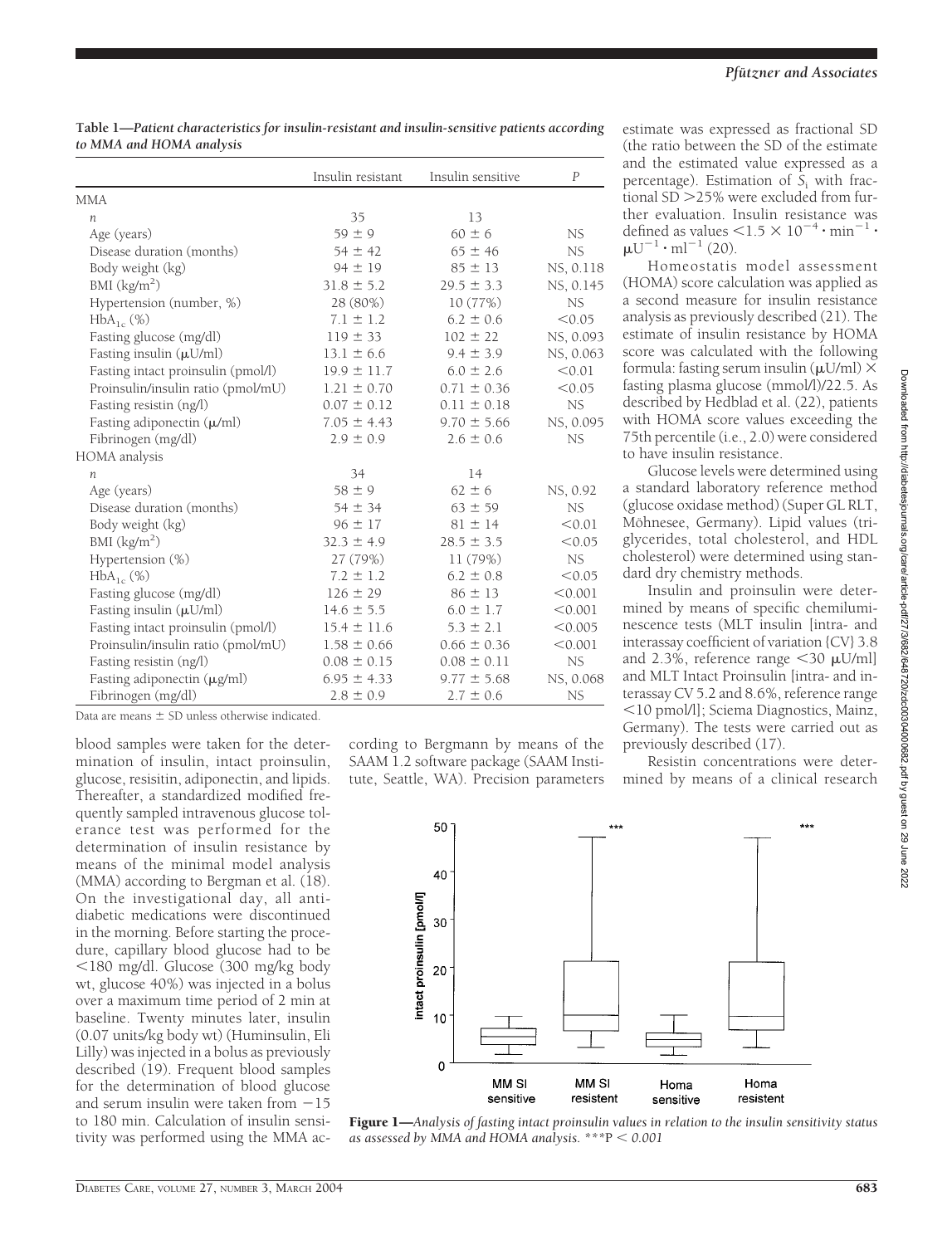**Table 1—***Patient characteristics for insulin-resistant and insulin-sensitive patients according to MMA and HOMA analysis*

|                                    | Insulin resistant | Insulin sensitive | P         |
|------------------------------------|-------------------|-------------------|-----------|
| <b>MMA</b>                         |                   |                   |           |
| $\boldsymbol{n}$                   | 35                | 13                |           |
| Age (years)                        | $59 \pm 9$        | $60 \pm 6$        | NS.       |
| Disease duration (months)          | $54 \pm 42$       | $65 \pm 46$       | NS        |
| Body weight (kg)                   | $94 \pm 19$       | $85 \pm 13$       | NS, 0.118 |
| BMI $(kg/m2)$                      | $31.8 \pm 5.2$    | $29.5 \pm 3.3$    | NS, 0.145 |
| Hypertension (number, %)           | 28 (80%)          | 10(77%)           | <b>NS</b> |
| $HbA_{1c}$ (%)                     | $7.1 \pm 1.2$     | $6.2 \pm 0.6$     | < 0.05    |
| Fasting glucose (mg/dl)            | $119 \pm 33$      | $102 \pm 22$      | NS, 0.093 |
| Fasting insulin (µU/ml)            | $13.1 \pm 6.6$    | $9.4 \pm 3.9$     | NS, 0.063 |
| Fasting intact proinsulin (pmol/l) | $19.9 \pm 11.7$   | $6.0 \pm 2.6$     | < 0.01    |
| Proinsulin/insulin ratio (pmol/mU) | $1.21 \pm 0.70$   | $0.71 \pm 0.36$   | < 0.05    |
| Fasting resistin (ng/l)            | $0.07 \pm 0.12$   | $0.11 \pm 0.18$   | <b>NS</b> |
| Fasting adiponectin $(\mu/ml)$     | $7.05 \pm 4.43$   | $9.70 \pm 5.66$   | NS, 0.095 |
| Fibrinogen (mg/dl)                 | $2.9 \pm 0.9$     | $2.6 \pm 0.6$     | NS        |
| HOMA analysis                      |                   |                   |           |
| $\boldsymbol{n}$                   | 34                | 14                |           |
| Age (years)                        | $58 \pm 9$        | $62 \pm 6$        | NS, 0.92  |
| Disease duration (months)          | $54 \pm 34$       | $63 \pm 59$       | NS        |
| Body weight (kg)                   | $96 \pm 17$       | $81 \pm 14$       | < 0.01    |
| BMI $(kg/m2)$                      | $32.3 \pm 4.9$    | $28.5 \pm 3.5$    | < 0.05    |
| Hypertension (%)                   | 27 (79%)          | 11 (79%)          | <b>NS</b> |
| $HbA_{1c}(\%)$                     | $7.2 \pm 1.2$     | $6.2 \pm 0.8$     | < 0.05    |
| Fasting glucose (mg/dl)            | $126 \pm 29$      | $86 \pm 13$       | < 0.001   |
| Fasting insulin $(\mu U/ml)$       | $14.6 \pm 5.5$    | $6.0 \pm 1.7$     | < 0.001   |
| Fasting intact proinsulin (pmol/l) | $15.4 \pm 11.6$   | $5.3 \pm 2.1$     | < 0.005   |
| Proinsulin/insulin ratio (pmol/mU) | $1.58 \pm 0.66$   | $0.66 \pm 0.36$   | < 0.001   |
| Fasting resistin (ng/l)            | $0.08 \pm 0.15$   | $0.08 \pm 0.11$   | <b>NS</b> |
| Fasting adiponectin (µg/ml)        | $6.95 \pm 4.33$   | $9.77 \pm 5.68$   | NS, 0.068 |
| Fibrinogen (mg/dl)                 | $2.8 \pm 0.9$     | $2.7 \pm 0.6$     | NS        |

Data are means  $\pm$  SD unless otherwise indicated.

blood samples were taken for the determination of insulin, intact proinsulin, glucose, resisitin, adiponectin, and lipids. Thereafter, a standardized modified frequently sampled intravenous glucose tolerance test was performed for the determination of insulin resistance by means of the minimal model analysis (MMA) according to Bergman et al. (18). On the investigational day, all antidiabetic medications were discontinued in the morning. Before starting the procedure, capillary blood glucose had to be -180 mg/dl. Glucose (300 mg/kg body wt, glucose 40%) was injected in a bolus over a maximum time period of 2 min at baseline. Twenty minutes later, insulin (0.07 units/kg body wt) (Huminsulin, Eli Lilly) was injected in a bolus as previously described (19). Frequent blood samples for the determination of blood glucose and serum insulin were taken from  $-15$ to 180 min. Calculation of insulin sensitivity was performed using the MMA ac-

cording to Bergmann by means of the SAAM 1.2 software package (SAAM Institute, Seattle, WA). Precision parameters estimate was expressed as fractional SD (the ratio between the SD of the estimate and the estimated value expressed as a percentage). Estimation of *S*<sup>i</sup> with fractional SD 25% were excluded from further evaluation. Insulin resistance was defined as values  $\leq$ 1.5  $\times$  10<sup>-4</sup>  $\cdot$  min<sup>-1</sup>  $\cdot$  $\mu U^{-1} \cdot ml^{-1}$  (20).

Homeostatis model assessment (HOMA) score calculation was applied as a second measure for insulin resistance analysis as previously described (21). The estimate of insulin resistance by HOMA score was calculated with the following formula: fasting serum insulin  $(\mu U/ml) \times$ fasting plasma glucose (mmol/l)/22.5. As described by Hedblad et al. (22), patients with HOMA score values exceeding the 75th percentile (i.e., 2.0) were considered to have insulin resistance.

Glucose levels were determined using a standard laboratory reference method (glucose oxidase method) (Super GL RLT, Möhnesee, Germany). Lipid values (triglycerides, total cholesterol, and HDL cholesterol) were determined using standard dry chemistry methods.

Insulin and proinsulin were determined by means of specific chemiluminescence tests (MLT insulin [intra- and interassay coefficient of variation {CV} 3.8 and 2.3%, reference range  $\leq$ 30  $\mu$ U/ml] and MLT Intact Proinsulin [intra- and interassay CV 5.2 and 8.6%, reference range -10 pmol/l]; Sciema Diagnostics, Mainz, Germany). The tests were carried out as previously described (17).

Resistin concentrations were determined by means of a clinical research



Figure 1—*Analysis of fasting intact proinsulin values in relation to the insulin sensitivity status* as assessed by MMA and HOMA analysis.  $***$ P  $< 0.001$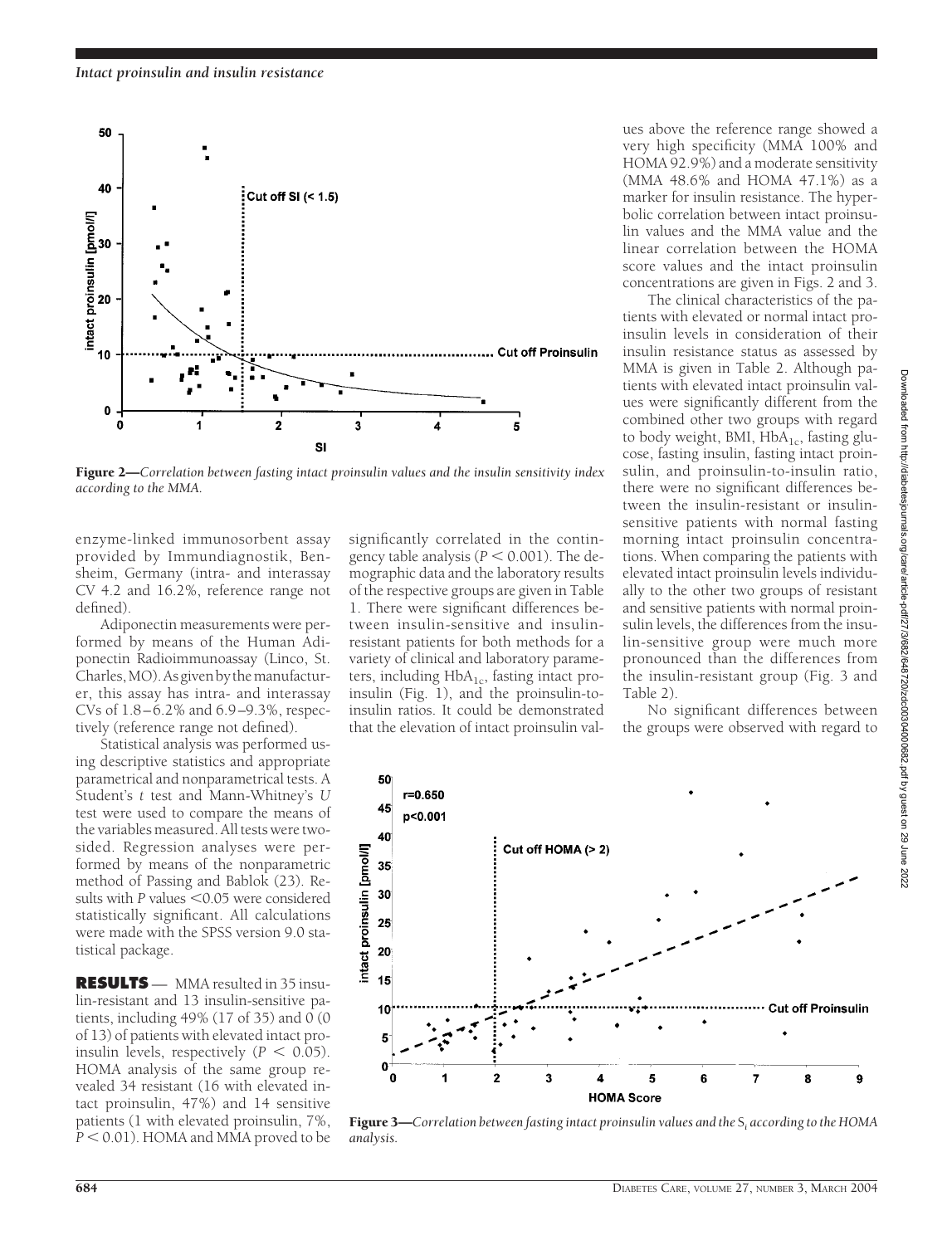

Figure 2—*Correlation between fasting intact proinsulin values and the insulin sensitivity index according to the MMA.*

*analysis.*

enzyme-linked immunosorbent assay provided by Immundiagnostik, Bensheim, Germany (intra- and interassay CV 4.2 and 16.2%, reference range not defined).

Adiponectin measurements were performed by means of the Human Adiponectin Radioimmunoassay (Linco, St. Charles,MO).Asgivenbythemanufacturer, this assay has intra- and interassay CVs of 1.8–6.2% and 6.9–9.3%, respectively (reference range not defined).

Statistical analysis was performed using descriptive statistics and appropriate parametrical and nonparametrical tests. A Student's *t* test and Mann-Whitney's *U* test were used to compare the means of the variables measured. All tests were twosided. Regression analyses were performed by means of the nonparametric method of Passing and Bablok (23). Results with P values <0.05 were considered statistically significant. All calculations were made with the SPSS version 9.0 statistical package.

**RESULTS** — MMA resulted in 35 insulin-resistant and 13 insulin-sensitive patients, including 49% (17 of 35) and  $\overline{0}$  (0 of 13) of patients with elevated intact proinsulin levels, respectively  $(P < 0.05)$ . HOMA analysis of the same group revealed 34 resistant (16 with elevated intact proinsulin, 47%) and 14 sensitive patients (1 with elevated proinsulin, 7%, P < 0.01). HOMA and MMA proved to be

significantly correlated in the contingency table analysis  $(P < 0.001)$ . The demographic data and the laboratory results of the respective groups are given in Table 1. There were significant differences between insulin-sensitive and insulinresistant patients for both methods for a variety of clinical and laboratory parameters, including  $HbA_{1c}$ , fasting intact proinsulin (Fig. 1), and the proinsulin-toinsulin ratios. It could be demonstrated that the elevation of intact proinsulin values above the reference range showed a very high specificity (MMA 100% and HOMA 92.9%) and a moderate sensitivity (MMA 48.6% and HOMA 47.1%) as a marker for insulin resistance. The hyperbolic correlation between intact proinsulin values and the MMA value and the linear correlation between the HOMA score values and the intact proinsulin concentrations are given in Figs. 2 and 3.

The clinical characteristics of the patients with elevated or normal intact proinsulin levels in consideration of their insulin resistance status as assessed by MMA is given in Table 2. Although patients with elevated intact proinsulin values were significantly different from the combined other two groups with regard to body weight, BMI,  $HbA_{1c}$ , fasting glucose, fasting insulin, fasting intact proinsulin, and proinsulin-to-insulin ratio, there were no significant differences between the insulin-resistant or insulinsensitive patients with normal fasting morning intact proinsulin concentrations. When comparing the patients with elevated intact proinsulin levels individually to the other two groups of resistant and sensitive patients with normal proinsulin levels, the differences from the insulin-sensitive group were much more pronounced than the differences from the insulin-resistant group (Fig. 3 and Table 2).

No significant differences between the groups were observed with regard to



Figure 3—*Correlation between fasting intact proinsulin values and the* S*<sup>i</sup> according to the HOMA*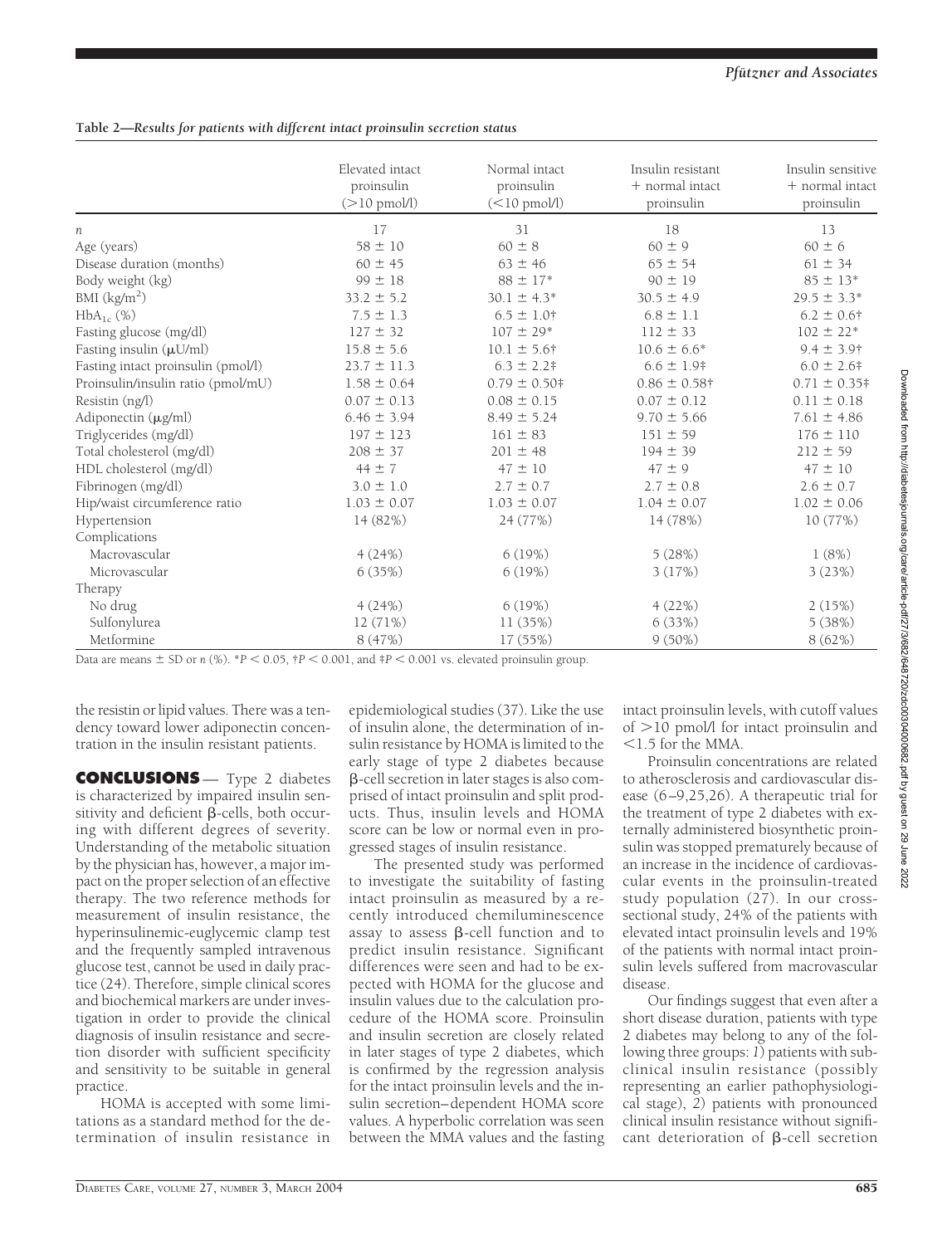## **Table 2—***Results for patients with different intact proinsulin secretion status*

|                                    | Elevated intact<br>proinsulin<br>$(>10 \text{ pmol/l})$ | Normal intact<br>proinsulin<br>$(<10$ pmol/l) | Insulin resistant<br>+ normal intact<br>proinsulin | Insulin sensitive<br>+ normal intact<br>proinsulin |
|------------------------------------|---------------------------------------------------------|-----------------------------------------------|----------------------------------------------------|----------------------------------------------------|
| п                                  | 17                                                      | 31                                            | 18                                                 | 13                                                 |
| Age (years)                        | $58 \pm 10$                                             | $60 \pm 8$                                    | $60 \pm 9$                                         | $60 \pm 6$                                         |
| Disease duration (months)          | $60 \pm 45$                                             | $63 \pm 46$                                   | $65 \pm 54$                                        | $61 \pm 34$                                        |
| Body weight (kg)                   | $99 \pm 18$                                             | $88 \pm 17*$                                  | $90 \pm 19$                                        | $85 \pm 13*$                                       |
| BMI $\frac{\text{kg}}{\text{m}^2}$ | $33.2 \pm 5.2$                                          | $30.1 \pm 4.3*$                               | $30.5 \pm 4.9$                                     | $29.5 \pm 3.3*$                                    |
| $HbA_{1c}$ (%)                     | $7.5 \pm 1.3$                                           | $6.5 \pm 1.0$ †                               | $6.8 \pm 1.1$                                      | $6.2 \pm 0.6$ †                                    |
| Fasting glucose (mg/dl)            | $127 \pm 32$                                            | $107 \pm 29*$                                 | $112 \pm 33$                                       | $102 \pm 22$ *                                     |
| Fasting insulin (µU/ml)            | $15.8 \pm 5.6$                                          | $10.1 \pm 5.6^{\dagger}$                      | $10.6 \pm 6.6^*$                                   | $9.4 \pm 3.9$ †                                    |
| Fasting intact proinsulin (pmol/l) | $23.7 \pm 11.3$                                         | $6.3 \pm 2.2$ #                               | $6.6 \pm 1.9$                                      | $6.0 \pm 2.6$ #                                    |
| Proinsulin/insulin ratio (pmol/mU) | $1.58 \pm 0.64$                                         | $0.79 \pm 0.50$ #                             | $0.86 \pm 0.58$ †                                  | $0.71 \pm 0.35$ #                                  |
| Resistin (ng/l)                    | $0.07 \pm 0.13$                                         | $0.08 \pm 0.15$                               | $0.07 \pm 0.12$                                    | $0.11 \pm 0.18$                                    |
| Adiponectin (µg/ml)                | $6.46 \pm 3.94$                                         | $8.49 \pm 5.24$                               | $9.70 \pm 5.66$                                    | $7.61 \pm 4.86$                                    |
| Triglycerides (mg/dl)              | $197 \pm 123$                                           | $161 \pm 83$                                  | $151 \pm 59$                                       | $176 \pm 110$                                      |
| Total cholesterol (mg/dl)          | $208 \pm 37$                                            | $201 \pm 48$                                  | $194 \pm 39$                                       | $212 \pm 59$                                       |
| HDL cholesterol (mg/dl)            | $44 \pm 7$                                              | $47 \pm 10$                                   | $47 \pm 9$                                         | $47 \pm 10$                                        |
| Fibrinogen (mg/dl)                 | $3.0 \pm 1.0$                                           | $2.7 \pm 0.7$                                 | $2.7 \pm 0.8$                                      | $2.6 \pm 0.7$                                      |
| Hip/waist circumference ratio      | $1.03 \pm 0.07$                                         | $1.03 \pm 0.07$                               | $1.04 \pm 0.07$                                    | $1.02 \pm 0.06$                                    |
| Hypertension                       | 14 (82%)                                                | 24 (77%)                                      | 14 (78%)                                           | 10 (77%)                                           |
| Complications                      |                                                         |                                               |                                                    |                                                    |
| Macrovascular                      | 4(24%)                                                  | 6(19%)                                        | 5(28%)                                             | 1(8%)                                              |
| Microvascular                      | 6(35%)                                                  | 6(19%)                                        | 3(17%)                                             | 3(23%)                                             |
| Therapy                            |                                                         |                                               |                                                    |                                                    |
| No drug                            | 4(24%)                                                  | 6(19%)                                        | 4(22%)                                             | 2(15%)                                             |
| Sulfonylurea                       | 12 (71%)                                                | 11 (35%)                                      | 6(33%)                                             | 5(38%)                                             |
| Metformine                         | 8 (47%)                                                 | 17 (55%)                                      | $9(50\%)$                                          | 8(62%)                                             |

Data are means  $\pm$  SD or *n* (%). \**P* < 0.05,  $\uparrow$ *P* < 0.001, and  $\uparrow$ *P* < 0.001 vs. elevated proinsulin group.

the resistin or lipid values. There was a tendency toward lower adiponectin concentration in the insulin resistant patients.

**CONCLUSIONS** — Type 2 diabetes is characterized by impaired insulin sensitivity and deficient  $\beta$ -cells, both occuring with different degrees of severity. Understanding of the metabolic situation by the physician has, however, a major impact on the proper selection of an effective therapy. The two reference methods for measurement of insulin resistance, the hyperinsulinemic-euglycemic clamp test and the frequently sampled intravenous glucose test, cannot be used in daily practice (24). Therefore, simple clinical scores and biochemical markers are under investigation in order to provide the clinical diagnosis of insulin resistance and secretion disorder with sufficient specificity and sensitivity to be suitable in general practice.

HOMA is accepted with some limitations as a standard method for the determination of insulin resistance in

epidemiological studies (37). Like the use of insulin alone, the determination of insulin resistance by HOMA is limited to the early stage of type 2 diabetes because -cell secretion in later stages is also comprised of intact proinsulin and split products. Thus, insulin levels and HOMA score can be low or normal even in progressed stages of insulin resistance.

The presented study was performed to investigate the suitability of fasting intact proinsulin as measured by a recently introduced chemiluminescence assay to assess  $\beta$ -cell function and to predict insulin resistance. Significant differences were seen and had to be expected with HOMA for the glucose and insulin values due to the calculation procedure of the HOMA score. Proinsulin and insulin secretion are closely related in later stages of type 2 diabetes, which is confirmed by the regression analysis for the intact proinsulin levels and the insulin secretion–dependent HOMA score values. A hyperbolic correlation was seen between the MMA values and the fasting intact proinsulin levels, with cutoff values of  $>10$  pmol/l for intact proinsulin and -1.5 for the MMA.

Proinsulin concentrations are related to atherosclerosis and cardiovascular disease (6–9,25,26). A therapeutic trial for the treatment of type 2 diabetes with externally administered biosynthetic proinsulin was stopped prematurely because of an increase in the incidence of cardiovascular events in the proinsulin-treated study population (27). In our crosssectional study, 24% of the patients with elevated intact proinsulin levels and 19% of the patients with normal intact proinsulin levels suffered from macrovascular disease.

Our findings suggest that even after a short disease duration, patients with type 2 diabetes may belong to any of the following three groups: *1*) patients with subclinical insulin resistance (possibly representing an earlier pathophysiological stage), *2*) patients with pronounced clinical insulin resistance without significant deterioration of  $\beta$ -cell secretion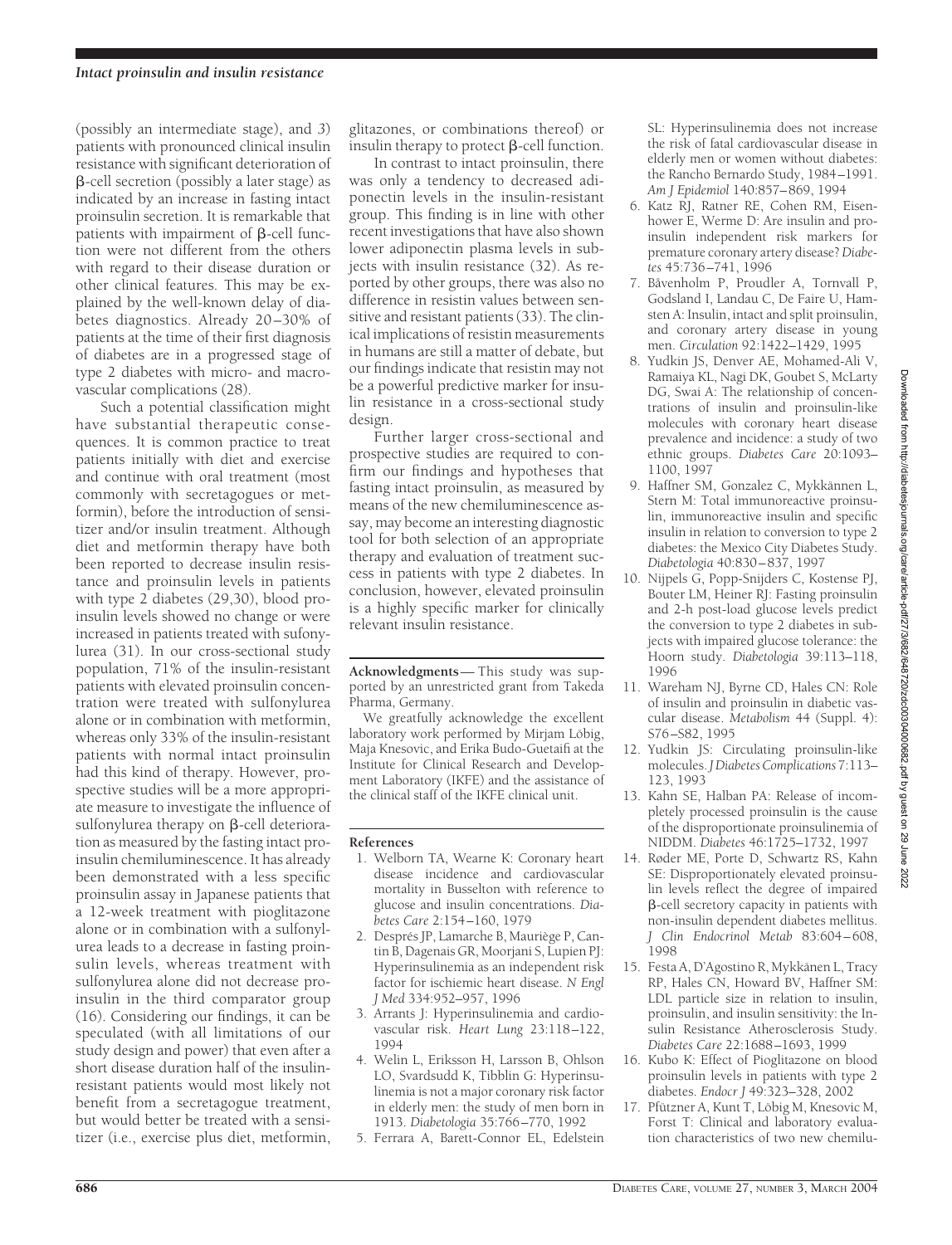(possibly an intermediate stage), and *3*) patients with pronounced clinical insulin resistance with significant deterioration of  $\beta$ -cell secretion (possibly a later stage) as indicated by an increase in fasting intact proinsulin secretion. It is remarkable that patients with impairment of  $\beta$ -cell function were not different from the others with regard to their disease duration or other clinical features. This may be explained by the well-known delay of diabetes diagnostics. Already 20-30% of patients at the time of their first diagnosis of diabetes are in a progressed stage of type 2 diabetes with micro- and macrovascular complications (28).

Such a potential classification might have substantial therapeutic consequences. It is common practice to treat patients initially with diet and exercise and continue with oral treatment (most commonly with secretagogues or metformin), before the introduction of sensitizer and/or insulin treatment. Although diet and metformin therapy have both been reported to decrease insulin resistance and proinsulin levels in patients with type 2 diabetes (29,30), blood proinsulin levels showed no change or were increased in patients treated with sufonylurea (31). In our cross-sectional study population, 71% of the insulin-resistant patients with elevated proinsulin concentration were treated with sulfonylurea alone or in combination with metformin, whereas only 33% of the insulin-resistant patients with normal intact proinsulin had this kind of therapy. However, prospective studies will be a more appropriate measure to investigate the influence of sulfonylurea therapy on  $\beta$ -cell deterioration as measured by the fasting intact proinsulin chemiluminescence. It has already been demonstrated with a less specific proinsulin assay in Japanese patients that a 12-week treatment with pioglitazone alone or in combination with a sulfonylurea leads to a decrease in fasting proinsulin levels, whereas treatment with sulfonylurea alone did not decrease proinsulin in the third comparator group (16). Considering our findings, it can be speculated (with all limitations of our study design and power) that even after a short disease duration half of the insulinresistant patients would most likely not benefit from a secretagogue treatment, but would better be treated with a sensitizer (i.e., exercise plus diet, metformin,

glitazones, or combinations thereof) or insulin therapy to protect  $\beta$ -cell function.

In contrast to intact proinsulin, there was only a tendency to decreased adiponectin levels in the insulin-resistant group. This finding is in line with other recent investigations that have also shown lower adiponectin plasma levels in subjects with insulin resistance (32). As reported by other groups, there was also no difference in resistin values between sensitive and resistant patients (33). The clinical implications of resistin measurements in humans are still a matter of debate, but our findings indicate that resistin may not be a powerful predictive marker for insulin resistance in a cross-sectional study design.

Further larger cross-sectional and prospective studies are required to confirm our findings and hypotheses that fasting intact proinsulin, as measured by means of the new chemiluminescence assay, may become an interesting diagnostic tool for both selection of an appropriate therapy and evaluation of treatment success in patients with type 2 diabetes. In conclusion, however, elevated proinsulin is a highly specific marker for clinically relevant insulin resistance.

**Acknowledgments**— This study was supported by an unrestricted grant from Takeda Pharma, Germany.

We greatfully acknowledge the excellent laboratory work performed by Mirjam Löbig, Maja Knesovic, and Erika Budo-Guetaifi at the Institute for Clinical Research and Development Laboratory (IKFE) and the assistance of the clinical staff of the IKFE clinical unit.

## **References**

- 1. Welborn TA, Wearne K: Coronary heart disease incidence and cardiovascular mortality in Busselton with reference to glucose and insulin concentrations. *Diabetes Care* 2:154–160, 1979
- 2. Després JP, Lamarche B, Mauriège P, Cantin B, Dagenais GR, Moorjani S, Lupien PJ: Hyperinsulinemia as an independent risk factor for ischiemic heart disease. *N Engl J Med* 334:952–957, 1996
- 3. Arrants J: Hyperinsulinemia and cardiovascular risk. *Heart Lung* 23:118–122, 1994
- 4. Welin L, Eriksson H, Larsson B, Ohlson LO, Svardsudd K, Tibblin G: Hyperinsulinemia is not a major coronary risk factor in elderly men: the study of men born in 1913. *Diabetologia* 35:766–770, 1992
- 5. Ferrara A, Barett-Connor EL, Edelstein

SL: Hyperinsulinemia does not increase the risk of fatal cardiovascular disease in elderly men or women without diabetes: the Rancho Bernardo Study, 1984–1991. *Am J Epidemiol* 140:857–869, 1994

- 6. Katz RJ, Ratner RE, Cohen RM, Eisenhower E, Werme D: Are insulin and proinsulin independent risk markers for premature coronary artery disease? *Diabetes* 45:736–741, 1996
- 7. Båvenholm P, Proudler A, Tornvall P, Godsland I, Landau C, De Faire U, Hamsten A: Insulin, intact and split proinsulin, and coronary artery disease in young men. *Circulation* 92:1422–1429, 1995
- 8. Yudkin JS, Denver AE, Mohamed-Ali V, Ramaiya KL, Nagi DK, Goubet S, McLarty DG, Swai A: The relationship of concentrations of insulin and proinsulin-like molecules with coronary heart disease prevalence and incidence: a study of two ethnic groups. *Diabetes Care* 20:1093– 1100, 1997
- 9. Haffner SM, Gonzalez C, Mykkännen L, Stern M: Total immunoreactive proinsulin, immunoreactive insulin and specific insulin in relation to conversion to type 2 diabetes: the Mexico City Diabetes Study. *Diabetologia* 40:830–837, 1997
- 10. Nijpels G, Popp-Snijders C, Kostense PJ, Bouter LM, Heiner RJ: Fasting proinsulin and 2-h post-load glucose levels predict the conversion to type 2 diabetes in subjects with impaired glucose tolerance: the Hoorn study. *Diabetologia* 39:113–118, 1996
- 11. Wareham NJ, Byrne CD, Hales CN: Role of insulin and proinsulin in diabetic vascular disease. *Metabolism* 44 (Suppl. 4): S76–S82, 1995
- 12. Yudkin JS: Circulating proinsulin-like molecules.*J Diabetes Complications* 7:113– 123, 1993
- 13. Kahn SE, Halban PA: Release of incompletely processed proinsulin is the cause of the disproportionate proinsulinemia of NIDDM. *Diabetes* 46:1725–1732, 1997
- 14. Røder ME, Porte D, Schwartz RS, Kahn SE: Disproportionately elevated proinsulin levels reflect the degree of impaired -cell secretory capacity in patients with non-insulin dependent diabetes mellitus. *J Clin Endocrinol Metab* 83:604–608, 1998
- 15. Festa A, D'Agostino R, Mykkänen L, Tracy RP, Hales CN, Howard BV, Haffner SM: LDL particle size in relation to insulin, proinsulin, and insulin sensitivity: the Insulin Resistance Atherosclerosis Study. *Diabetes Care* 22:1688–1693, 1999
- 16. Kubo K: Effect of Pioglitazone on blood proinsulin levels in patients with type 2 diabetes. *Endocr J* 49:323–328, 2002
- 17. Pfützner A, Kunt T, Löbig M, Knesovic M, Forst T: Clinical and laboratory evaluation characteristics of two new chemilu-